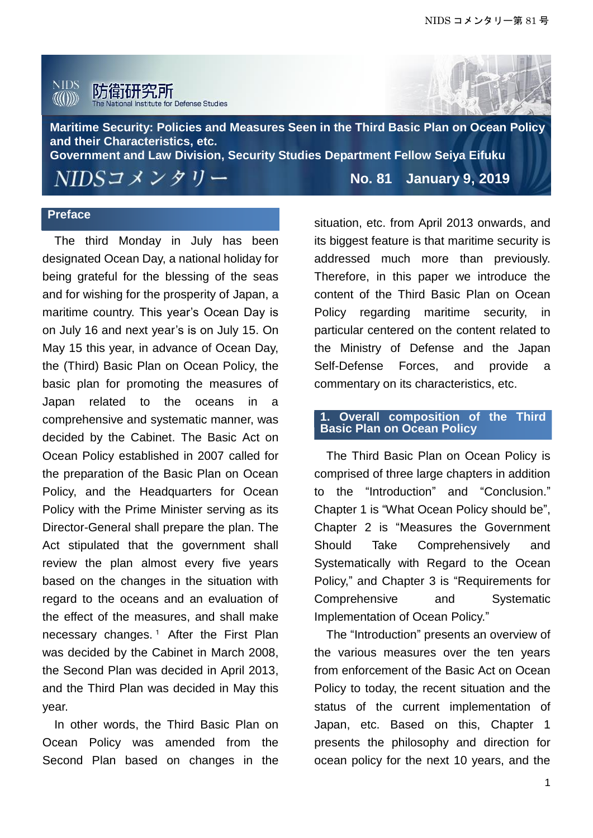



**Maritime Security: Policies and Measures Seen in the Third Basic Plan on Ocean Policy and their Characteristics, etc. Government and Law Division, Security Studies Department Fellow Seiya Eifuku**

NIDSコメンタリー

**No. 81 January 9, 2019**

## **Preface**

The third Monday in July has been designated Ocean Day, a national holiday for being grateful for the blessing of the seas and for wishing for the prosperity of Japan, a maritime country. This year's Ocean Day is on July 16 and next year's is on July 15. On May 15 this year, in advance of Ocean Day, the (Third) Basic Plan on Ocean Policy, the basic plan for promoting the measures of Japan related to the oceans in a comprehensive and systematic manner, was decided by the Cabinet. The Basic Act on Ocean Policy established in 2007 called for the preparation of the Basic Plan on Ocean Policy, and the Headquarters for Ocean Policy with the Prime Minister serving as its Director-General shall prepare the plan. The Act stipulated that the government shall review the plan almost every five years based on the changes in the situation with regard to the oceans and an evaluation of the effect of the measures, and shall make necessary changes.<sup>1</sup> After the First Plan was decided by the Cabinet in March 2008, the Second Plan was decided in April 2013, and the Third Plan was decided in May this year.

In other words, the Third Basic Plan on Ocean Policy was amended from the Second Plan based on changes in the

situation, etc. from April 2013 onwards, and its biggest feature is that maritime security is addressed much more than previously. Therefore, in this paper we introduce the content of the Third Basic Plan on Ocean Policy regarding maritime security, in particular centered on the content related to the Ministry of Defense and the Japan Self-Defense Forces, and provide a commentary on its characteristics, etc.

# **1. Overall composition of the Third Basic Plan on Ocean Policy**

The Third Basic Plan on Ocean Policy is comprised of three large chapters in addition to the "Introduction" and "Conclusion." Chapter 1 is "What Ocean Policy should be", Chapter 2 is "Measures the Government Should Take Comprehensively and Systematically with Regard to the Ocean Policy," and Chapter 3 is "Requirements for Comprehensive and Systematic Implementation of Ocean Policy."

The "Introduction" presents an overview of the various measures over the ten years from enforcement of the Basic Act on Ocean Policy to today, the recent situation and the status of the current implementation of Japan, etc. Based on this, Chapter 1 presents the philosophy and direction for ocean policy for the next 10 years, and the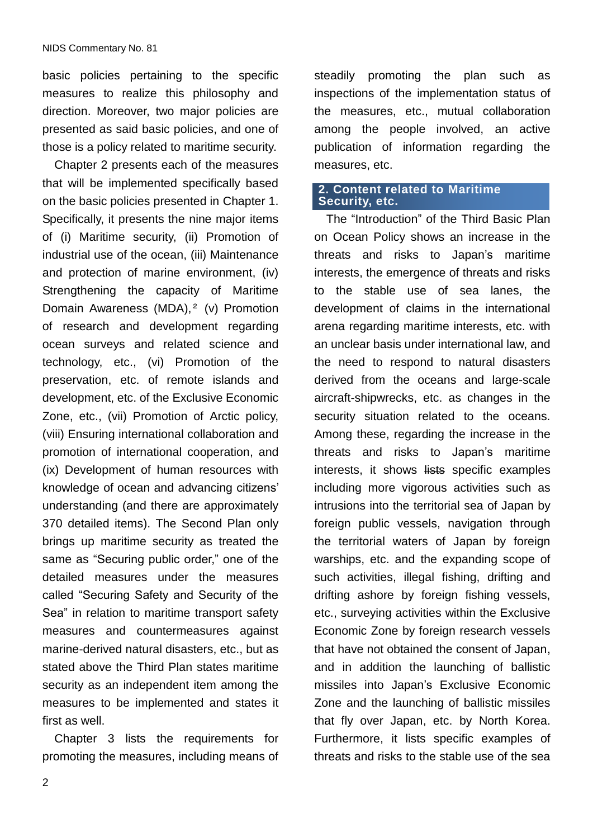basic policies pertaining to the specific measures to realize this philosophy and direction. Moreover, two major policies are presented as said basic policies, and one of those is a policy related to maritime security.

Chapter 2 presents each of the measures that will be implemented specifically based on the basic policies presented in Chapter 1. Specifically, it presents the nine major items of (i) Maritime security, (ii) Promotion of industrial use of the ocean, (iii) Maintenance and protection of marine environment, (iv) Strengthening the capacity of Maritime Domain Awareness (MDA),<sup>2</sup> (v) Promotion of research and development regarding ocean surveys and related science and technology, etc., (vi) Promotion of the preservation, etc. of remote islands and development, etc. of the Exclusive Economic Zone, etc., (vii) Promotion of Arctic policy, (viii) Ensuring international collaboration and promotion of international cooperation, and (ix) Development of human resources with knowledge of ocean and advancing citizens' understanding (and there are approximately 370 detailed items). The Second Plan only brings up maritime security as treated the same as "Securing public order," one of the detailed measures under the measures called "Securing Safety and Security of the Sea" in relation to maritime transport safety measures and countermeasures against marine-derived natural disasters, etc., but as stated above the Third Plan states maritime security as an independent item among the measures to be implemented and states it first as well.

Chapter 3 lists the requirements for promoting the measures, including means of steadily promoting the plan such as inspections of the implementation status of the measures, etc., mutual collaboration among the people involved, an active publication of information regarding the measures, etc.

## **2. Content related to Maritime Security, etc.**

The "Introduction" of the Third Basic Plan on Ocean Policy shows an increase in the threats and risks to Japan's maritime interests, the emergence of threats and risks to the stable use of sea lanes, the development of claims in the international arena regarding maritime interests, etc. with an unclear basis under international law, and the need to respond to natural disasters derived from the oceans and large-scale aircraft-shipwrecks, etc. as changes in the security situation related to the oceans. Among these, regarding the increase in the threats and risks to Japan's maritime interests, it shows lists specific examples including more vigorous activities such as intrusions into the territorial sea of Japan by foreign public vessels, navigation through the territorial waters of Japan by foreign warships, etc. and the expanding scope of such activities, illegal fishing, drifting and drifting ashore by foreign fishing vessels, etc., surveying activities within the Exclusive Economic Zone by foreign research vessels that have not obtained the consent of Japan, and in addition the launching of ballistic missiles into Japan's Exclusive Economic Zone and the launching of ballistic missiles that fly over Japan, etc. by North Korea. Furthermore, it lists specific examples of threats and risks to the stable use of the sea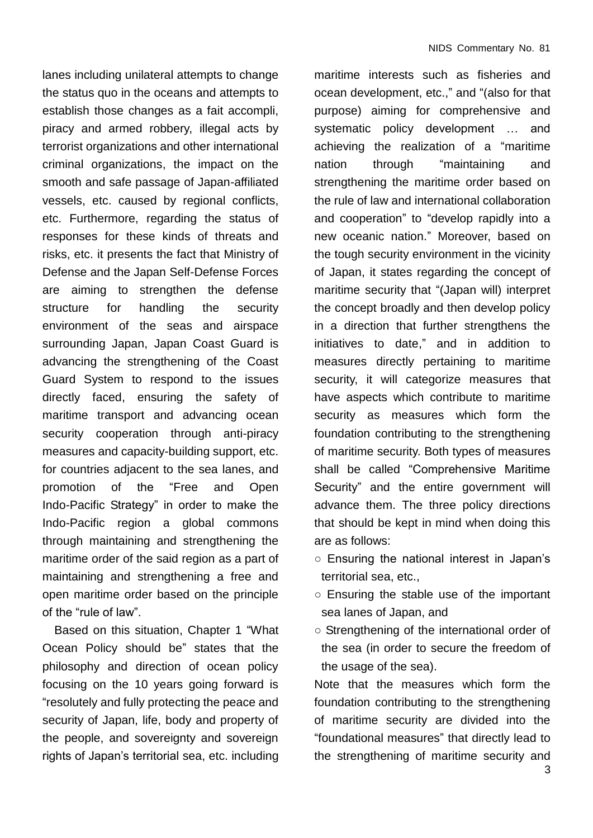lanes including unilateral attempts to change the status quo in the oceans and attempts to establish those changes as a fait accompli, piracy and armed robbery, illegal acts by terrorist organizations and other international criminal organizations, the impact on the smooth and safe passage of Japan-affiliated vessels, etc. caused by regional conflicts, etc. Furthermore, regarding the status of responses for these kinds of threats and risks, etc. it presents the fact that Ministry of Defense and the Japan Self-Defense Forces are aiming to strengthen the defense structure for handling the security environment of the seas and airspace surrounding Japan, Japan Coast Guard is advancing the strengthening of the Coast Guard System to respond to the issues directly faced, ensuring the safety of maritime transport and advancing ocean security cooperation through anti-piracy measures and capacity-building support, etc. for countries adjacent to the sea lanes, and promotion of the "Free and Open Indo-Pacific Strategy" in order to make the Indo-Pacific region a global commons through maintaining and strengthening the maritime order of the said region as a part of maintaining and strengthening a free and open maritime order based on the principle of the "rule of law".

Based on this situation, Chapter 1 "What Ocean Policy should be" states that the philosophy and direction of ocean policy focusing on the 10 years going forward is "resolutely and fully protecting the peace and security of Japan, life, body and property of the people, and sovereignty and sovereign rights of Japan's territorial sea, etc. including maritime interests such as fisheries and ocean development, etc.," and "(also for that purpose) aiming for comprehensive and systematic policy development … and achieving the realization of a "maritime nation through "maintaining and strengthening the maritime order based on the rule of law and international collaboration and cooperation" to "develop rapidly into a new oceanic nation." Moreover, based on the tough security environment in the vicinity of Japan, it states regarding the concept of maritime security that "(Japan will) interpret the concept broadly and then develop policy in a direction that further strengthens the initiatives to date," and in addition to measures directly pertaining to maritime security, it will categorize measures that have aspects which contribute to maritime security as measures which form the foundation contributing to the strengthening of maritime security. Both types of measures shall be called "Comprehensive Maritime Security" and the entire government will advance them. The three policy directions that should be kept in mind when doing this are as follows:

- Ensuring the national interest in Japan's territorial sea, etc.,
- Ensuring the stable use of the important sea lanes of Japan, and
- Strengthening of the international order of the sea (in order to secure the freedom of the usage of the sea).

Note that the measures which form the foundation contributing to the strengthening of maritime security are divided into the "foundational measures" that directly lead to the strengthening of maritime security and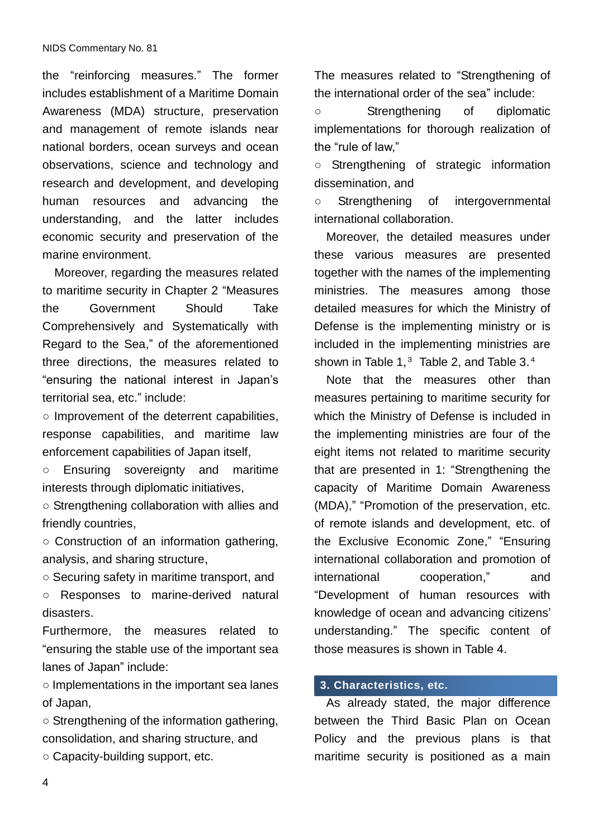the "reinforcing measures." The former includes establishment of a Maritime Domain Awareness (MDA) structure, preservation and management of remote islands near national borders, ocean surveys and ocean observations, science and technology and research and development, and developing human resources and advancing the understanding, and the latter includes economic security and preservation of the marine environment.

Moreover, regarding the measures related to maritime security in Chapter 2 "Measures the Government Should Take Comprehensively and Systematically with Regard to the Sea," of the aforementioned three directions, the measures related to "ensuring the national interest in Japan's territorial sea, etc." include:

○ Improvement of the deterrent capabilities, response capabilities, and maritime law enforcement capabilities of Japan itself,

○ Ensuring sovereignty and maritime interests through diplomatic initiatives,

○ Strengthening collaboration with allies and friendly countries,

○ Construction of an information gathering, analysis, and sharing structure,

○ Securing safety in maritime transport, and

○ Responses to marine-derived natural disasters.

Furthermore, the measures related to "ensuring the stable use of the important sea lanes of Japan" include:

○ Implementations in the important sea lanes of Japan,

○ Strengthening of the information gathering, consolidation, and sharing structure, and ○ Capacity-building support, etc.

The measures related to "Strengthening of the international order of the sea" include:

○ Strengthening of diplomatic implementations for thorough realization of the "rule of law,"

○ Strengthening of strategic information dissemination, and

○ Strengthening of intergovernmental international collaboration.

Moreover, the detailed measures under these various measures are presented together with the names of the implementing ministries. The measures among those detailed measures for which the Ministry of Defense is the implementing ministry or is included in the implementing ministries are shown in Table 1,<sup>3</sup> Table 2, and Table 3.<sup>4</sup>

Note that the measures other than measures pertaining to maritime security for which the Ministry of Defense is included in the implementing ministries are four of the eight items not related to maritime security that are presented in 1: "Strengthening the capacity of Maritime Domain Awareness (MDA)," "Promotion of the preservation, etc. of remote islands and development, etc. of the Exclusive Economic Zone," "Ensuring international collaboration and promotion of international cooperation," and "Development of human resources with knowledge of ocean and advancing citizens' understanding." The specific content of those measures is shown in Table 4.

# **3. Characteristics, etc.**

As already stated, the major difference between the Third Basic Plan on Ocean Policy and the previous plans is that maritime security is positioned as a main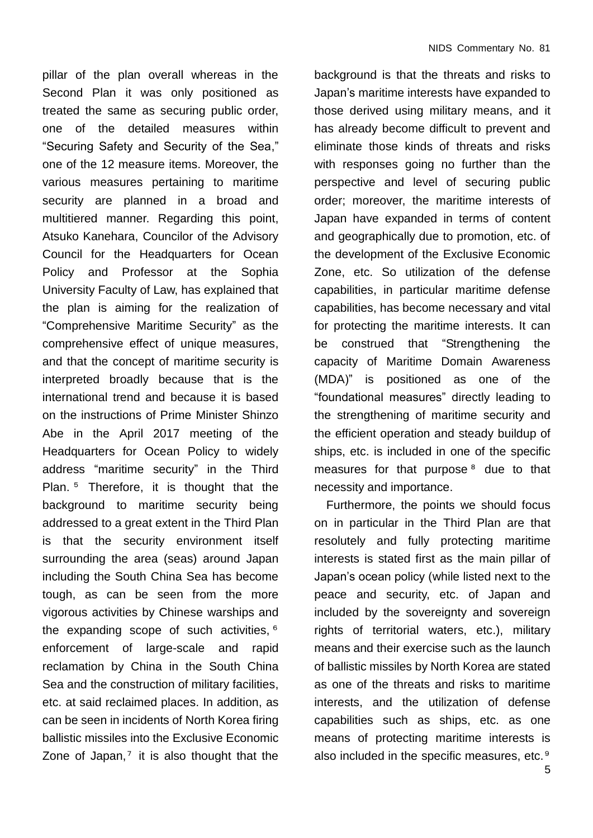pillar of the plan overall whereas in the Second Plan it was only positioned as treated the same as securing public order, one of the detailed measures within "Securing Safety and Security of the Sea," one of the 12 measure items. Moreover, the various measures pertaining to maritime security are planned in a broad and multitiered manner. Regarding this point, Atsuko Kanehara, Councilor of the Advisory Council for the Headquarters for Ocean Policy and Professor at the Sophia University Faculty of Law, has explained that the plan is aiming for the realization of "Comprehensive Maritime Security" as the comprehensive effect of unique measures, and that the concept of maritime security is interpreted broadly because that is the international trend and because it is based on the instructions of Prime Minister Shinzo Abe in the April 2017 meeting of the Headquarters for Ocean Policy to widely address "maritime security" in the Third Plan. <sup>5</sup> Therefore, it is thought that the background to maritime security being addressed to a great extent in the Third Plan is that the security environment itself surrounding the area (seas) around Japan including the South China Sea has become tough, as can be seen from the more vigorous activities by Chinese warships and the expanding scope of such activities, 6 enforcement of large-scale and rapid reclamation by China in the South China Sea and the construction of military facilities, etc. at said reclaimed places. In addition, as can be seen in incidents of North Korea firing ballistic missiles into the Exclusive Economic Zone of Japan,<sup>7</sup> it is also thought that the

background is that the threats and risks to Japan's maritime interests have expanded to those derived using military means, and it has already become difficult to prevent and eliminate those kinds of threats and risks with responses going no further than the perspective and level of securing public order; moreover, the maritime interests of Japan have expanded in terms of content and geographically due to promotion, etc. of the development of the Exclusive Economic Zone, etc. So utilization of the defense capabilities, in particular maritime defense capabilities, has become necessary and vital for protecting the maritime interests. It can be construed that "Strengthening the capacity of Maritime Domain Awareness (MDA)" is positioned as one of the "foundational measures" directly leading to the strengthening of maritime security and the efficient operation and steady buildup of ships, etc. is included in one of the specific measures for that purpose<sup>8</sup> due to that necessity and importance.

Furthermore, the points we should focus on in particular in the Third Plan are that resolutely and fully protecting maritime interests is stated first as the main pillar of Japan's ocean policy (while listed next to the peace and security, etc. of Japan and included by the sovereignty and sovereign rights of territorial waters, etc.), military means and their exercise such as the launch of ballistic missiles by North Korea are stated as one of the threats and risks to maritime interests, and the utilization of defense capabilities such as ships, etc. as one means of protecting maritime interests is also included in the specific measures, etc.<sup>9</sup>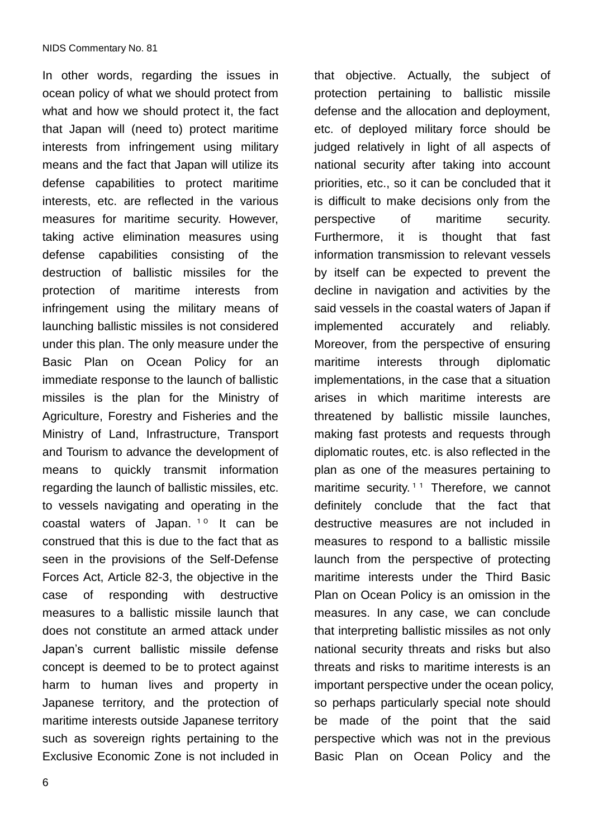In other words, regarding the issues in ocean policy of what we should protect from what and how we should protect it, the fact that Japan will (need to) protect maritime interests from infringement using military means and the fact that Japan will utilize its defense capabilities to protect maritime interests, etc. are reflected in the various measures for maritime security. However, taking active elimination measures using defense capabilities consisting of the destruction of ballistic missiles for the protection of maritime interests from infringement using the military means of launching ballistic missiles is not considered under this plan. The only measure under the Basic Plan on Ocean Policy for an immediate response to the launch of ballistic missiles is the plan for the Ministry of Agriculture, Forestry and Fisheries and the Ministry of Land, Infrastructure, Transport and Tourism to advance the development of means to quickly transmit information regarding the launch of ballistic missiles, etc. to vessels navigating and operating in the coastal waters of Japan. <sup>10</sup> It can be construed that this is due to the fact that as seen in the provisions of the Self-Defense Forces Act, Article 82-3, the objective in the case of responding with destructive measures to a ballistic missile launch that does not constitute an armed attack under Japan's current ballistic missile defense concept is deemed to be to protect against harm to human lives and property in Japanese territory, and the protection of maritime interests outside Japanese territory such as sovereign rights pertaining to the Exclusive Economic Zone is not included in

protection pertaining to ballistic missile defense and the allocation and deployment, etc. of deployed military force should be judged relatively in light of all aspects of national security after taking into account priorities, etc., so it can be concluded that it is difficult to make decisions only from the perspective of maritime security. Furthermore, it is thought that fast information transmission to relevant vessels by itself can be expected to prevent the decline in navigation and activities by the said vessels in the coastal waters of Japan if implemented accurately and reliably. Moreover, from the perspective of ensuring maritime interests through diplomatic implementations, in the case that a situation arises in which maritime interests are threatened by ballistic missile launches, making fast protests and requests through diplomatic routes, etc. is also reflected in the plan as one of the measures pertaining to maritime security.<sup>11</sup> Therefore, we cannot definitely conclude that the fact that destructive measures are not included in measures to respond to a ballistic missile launch from the perspective of protecting maritime interests under the Third Basic Plan on Ocean Policy is an omission in the measures. In any case, we can conclude that interpreting ballistic missiles as not only national security threats and risks but also threats and risks to maritime interests is an important perspective under the ocean policy, so perhaps particularly special note should be made of the point that the said perspective which was not in the previous Basic Plan on Ocean Policy and the

that objective. Actually, the subject of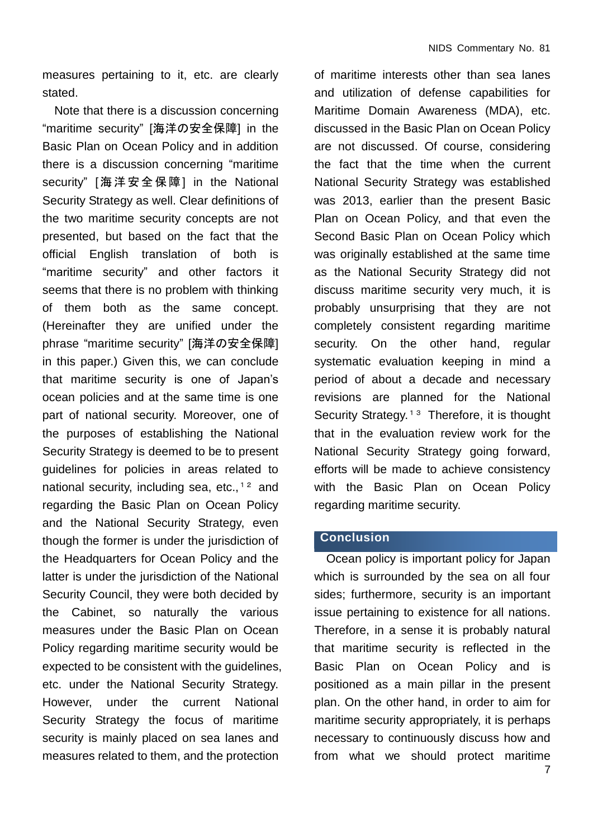measures pertaining to it, etc. are clearly stated.

Note that there is a discussion concerning "maritime security" [海洋の安全保障] in the Basic Plan on Ocean Policy and in addition there is a discussion concerning "maritime security" [海洋安全保障] in the National Security Strategy as well. Clear definitions of the two maritime security concepts are not presented, but based on the fact that the official English translation of both is "maritime security" and other factors it seems that there is no problem with thinking of them both as the same concept. (Hereinafter they are unified under the phrase "maritime security" [海洋の安全保障] in this paper.) Given this, we can conclude that maritime security is one of Japan's ocean policies and at the same time is one part of national security. Moreover, one of the purposes of establishing the National Security Strategy is deemed to be to present guidelines for policies in areas related to national security, including sea, etc.,  $12$  and regarding the Basic Plan on Ocean Policy and the National Security Strategy, even though the former is under the jurisdiction of the Headquarters for Ocean Policy and the latter is under the jurisdiction of the National Security Council, they were both decided by the Cabinet, so naturally the various measures under the Basic Plan on Ocean Policy regarding maritime security would be expected to be consistent with the guidelines, etc. under the National Security Strategy. However, under the current National Security Strategy the focus of maritime security is mainly placed on sea lanes and measures related to them, and the protection

of maritime interests other than sea lanes and utilization of defense capabilities for Maritime Domain Awareness (MDA), etc. discussed in the Basic Plan on Ocean Policy are not discussed. Of course, considering the fact that the time when the current National Security Strategy was established was 2013, earlier than the present Basic Plan on Ocean Policy, and that even the Second Basic Plan on Ocean Policy which was originally established at the same time as the National Security Strategy did not discuss maritime security very much, it is probably unsurprising that they are not completely consistent regarding maritime security. On the other hand, regular systematic evaluation keeping in mind a period of about a decade and necessary revisions are planned for the National Security Strategy.<sup>13</sup> Therefore, it is thought that in the evaluation review work for the National Security Strategy going forward, efforts will be made to achieve consistency with the Basic Plan on Ocean Policy regarding maritime security.

#### **Conclusion**

Ocean policy is important policy for Japan which is surrounded by the sea on all four sides; furthermore, security is an important issue pertaining to existence for all nations. Therefore, in a sense it is probably natural that maritime security is reflected in the Basic Plan on Ocean Policy and is positioned as a main pillar in the present plan. On the other hand, in order to aim for maritime security appropriately, it is perhaps necessary to continuously discuss how and from what we should protect maritime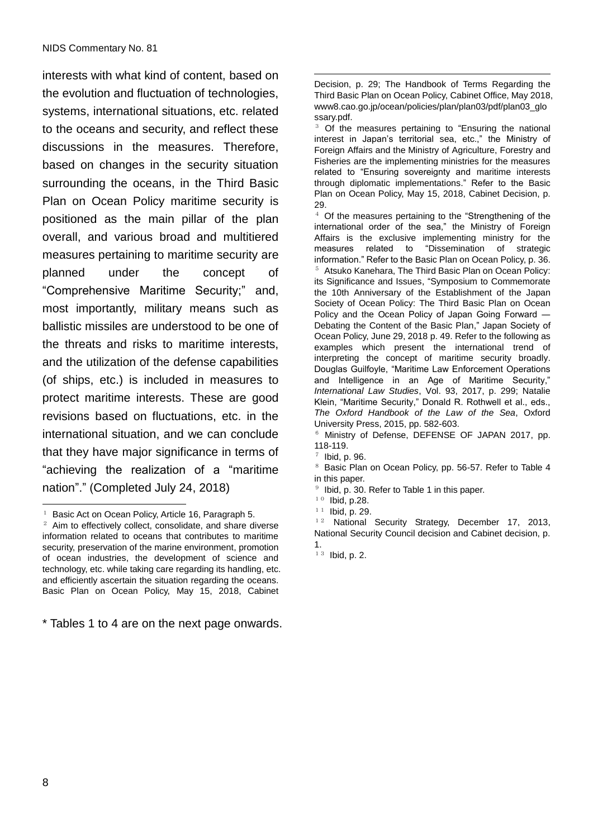interests with what kind of content, based on the evolution and fluctuation of technologies, systems, international situations, etc. related to the oceans and security, and reflect these discussions in the measures. Therefore, based on changes in the security situation surrounding the oceans, in the Third Basic Plan on Ocean Policy maritime security is positioned as the main pillar of the plan overall, and various broad and multitiered measures pertaining to maritime security are planned under the concept of "Comprehensive Maritime Security;" and, most importantly, military means such as ballistic missiles are understood to be one of the threats and risks to maritime interests, and the utilization of the defense capabilities (of ships, etc.) is included in measures to protect maritime interests. These are good revisions based on fluctuations, etc. in the international situation, and we can conclude that they have major significance in terms of "achieving the realization of a "maritime nation"." (Completed July 24, 2018)

<sup>1</sup> Basic Act on Ocean Policy, Article 16, Paragraph 5.

\* Tables 1 to 4 are on the next page onwards.

<u>.</u> Decision, p. 29; The Handbook of Terms Regarding the Third Basic Plan on Ocean Policy, Cabinet Office, May 2018, www8.cao.go.jp/ocean/policies/plan/plan03/pdf/plan03\_glo ssary.pdf.

<sup>3</sup> Of the measures pertaining to "Ensuring the national interest in Japan's territorial sea, etc.," the Ministry of Foreign Affairs and the Ministry of Agriculture, Forestry and Fisheries are the implementing ministries for the measures related to "Ensuring sovereignty and maritime interests through diplomatic implementations." Refer to the Basic Plan on Ocean Policy, May 15, 2018, Cabinet Decision, p. 29.

<sup>4</sup> Of the measures pertaining to the "Strengthening of the international order of the sea," the Ministry of Foreign Affairs is the exclusive implementing ministry for the measures related to "Dissemination of strategic information." Refer to the Basic Plan on Ocean Policy, p. 36. <sup>5</sup> Atsuko Kanehara, The Third Basic Plan on Ocean Policy: its Significance and Issues, "Symposium to Commemorate the 10th Anniversary of the Establishment of the Japan Society of Ocean Policy: The Third Basic Plan on Ocean Policy and the Ocean Policy of Japan Going Forward -Debating the Content of the Basic Plan," Japan Society of Ocean Policy, June 29, 2018 p. 49. Refer to the following as examples which present the international trend of interpreting the concept of maritime security broadly. Douglas Guilfoyle, "Maritime Law Enforcement Operations and Intelligence in an Age of Maritime Security," *International Law Studies*, Vol. 93, 2017, p. 299; Natalie Klein, "Maritime Security," Donald R. Rothwell et al., eds., *The Oxford Handbook of the Law of the Sea*, Oxford University Press, 2015, pp. 582-603.

<sup>6</sup> Ministry of Defense, DEFENSE OF JAPAN 2017, pp. 118-119.

National Security Strategy, December 17, 2013, National Security Council decision and Cabinet decision, p. 1.

 $13$  Ibid, p. 2.

 $\overline{a}$ 

 $2$  Aim to effectively collect, consolidate, and share diverse information related to oceans that contributes to maritime security, preservation of the marine environment, promotion of ocean industries, the development of science and technology, etc. while taking care regarding its handling, etc. and efficiently ascertain the situation regarding the oceans. Basic Plan on Ocean Policy, May 15, 2018, Cabinet

 $7$  Ibid, p. 96.

<sup>&</sup>lt;sup>8</sup> Basic Plan on Ocean Policy, pp. 56-57. Refer to Table 4 in this paper.

 $9$  Ibid, p. 30. Refer to Table 1 in this paper.

 $10$  Ibid, p.28.

 $\frac{11}{12}$  Ibid, p. 29.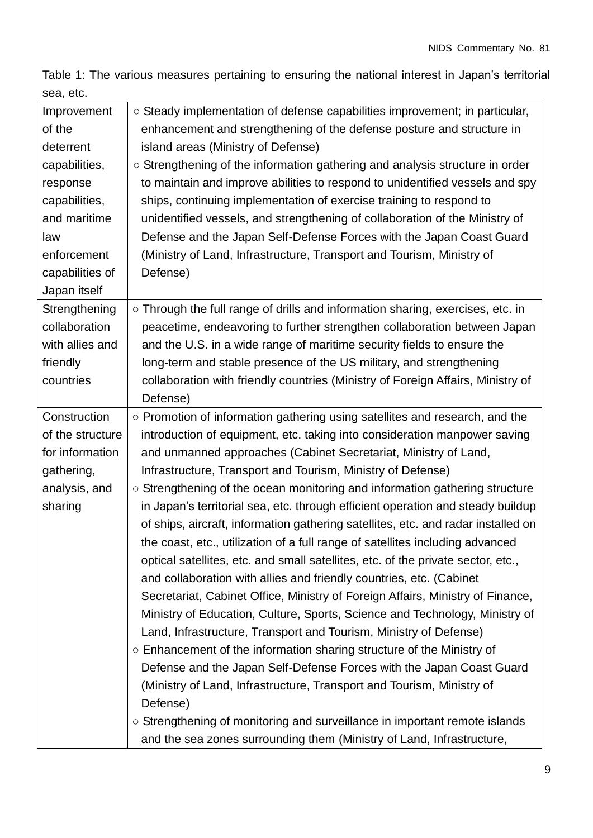Table 1: The various measures pertaining to ensuring the national interest in Japan's territorial sea, etc.

| Improvement      | $\circ$ Steady implementation of defense capabilities improvement; in particular,                                                                                                                                                                                                                                                                                                                                                                                                                                                                                                                                                                                                                      |
|------------------|--------------------------------------------------------------------------------------------------------------------------------------------------------------------------------------------------------------------------------------------------------------------------------------------------------------------------------------------------------------------------------------------------------------------------------------------------------------------------------------------------------------------------------------------------------------------------------------------------------------------------------------------------------------------------------------------------------|
| of the           | enhancement and strengthening of the defense posture and structure in                                                                                                                                                                                                                                                                                                                                                                                                                                                                                                                                                                                                                                  |
| deterrent        | island areas (Ministry of Defense)                                                                                                                                                                                                                                                                                                                                                                                                                                                                                                                                                                                                                                                                     |
| capabilities,    | ○ Strengthening of the information gathering and analysis structure in order                                                                                                                                                                                                                                                                                                                                                                                                                                                                                                                                                                                                                           |
| response         | to maintain and improve abilities to respond to unidentified vessels and spy                                                                                                                                                                                                                                                                                                                                                                                                                                                                                                                                                                                                                           |
| capabilities,    | ships, continuing implementation of exercise training to respond to                                                                                                                                                                                                                                                                                                                                                                                                                                                                                                                                                                                                                                    |
| and maritime     | unidentified vessels, and strengthening of collaboration of the Ministry of                                                                                                                                                                                                                                                                                                                                                                                                                                                                                                                                                                                                                            |
| law              | Defense and the Japan Self-Defense Forces with the Japan Coast Guard                                                                                                                                                                                                                                                                                                                                                                                                                                                                                                                                                                                                                                   |
| enforcement      | (Ministry of Land, Infrastructure, Transport and Tourism, Ministry of                                                                                                                                                                                                                                                                                                                                                                                                                                                                                                                                                                                                                                  |
| capabilities of  | Defense)                                                                                                                                                                                                                                                                                                                                                                                                                                                                                                                                                                                                                                                                                               |
| Japan itself     |                                                                                                                                                                                                                                                                                                                                                                                                                                                                                                                                                                                                                                                                                                        |
| Strengthening    | ○ Through the full range of drills and information sharing, exercises, etc. in                                                                                                                                                                                                                                                                                                                                                                                                                                                                                                                                                                                                                         |
| collaboration    | peacetime, endeavoring to further strengthen collaboration between Japan                                                                                                                                                                                                                                                                                                                                                                                                                                                                                                                                                                                                                               |
| with allies and  | and the U.S. in a wide range of maritime security fields to ensure the                                                                                                                                                                                                                                                                                                                                                                                                                                                                                                                                                                                                                                 |
| friendly         | long-term and stable presence of the US military, and strengthening                                                                                                                                                                                                                                                                                                                                                                                                                                                                                                                                                                                                                                    |
| countries        | collaboration with friendly countries (Ministry of Foreign Affairs, Ministry of                                                                                                                                                                                                                                                                                                                                                                                                                                                                                                                                                                                                                        |
|                  | Defense)                                                                                                                                                                                                                                                                                                                                                                                                                                                                                                                                                                                                                                                                                               |
| Construction     | ○ Promotion of information gathering using satellites and research, and the                                                                                                                                                                                                                                                                                                                                                                                                                                                                                                                                                                                                                            |
| of the structure | introduction of equipment, etc. taking into consideration manpower saving                                                                                                                                                                                                                                                                                                                                                                                                                                                                                                                                                                                                                              |
| for information  | and unmanned approaches (Cabinet Secretariat, Ministry of Land,                                                                                                                                                                                                                                                                                                                                                                                                                                                                                                                                                                                                                                        |
| gathering,       | Infrastructure, Transport and Tourism, Ministry of Defense)                                                                                                                                                                                                                                                                                                                                                                                                                                                                                                                                                                                                                                            |
| analysis, and    | ○ Strengthening of the ocean monitoring and information gathering structure                                                                                                                                                                                                                                                                                                                                                                                                                                                                                                                                                                                                                            |
| sharing          | in Japan's territorial sea, etc. through efficient operation and steady buildup                                                                                                                                                                                                                                                                                                                                                                                                                                                                                                                                                                                                                        |
|                  | of ships, aircraft, information gathering satellites, etc. and radar installed on                                                                                                                                                                                                                                                                                                                                                                                                                                                                                                                                                                                                                      |
|                  | the coast, etc., utilization of a full range of satellites including advanced                                                                                                                                                                                                                                                                                                                                                                                                                                                                                                                                                                                                                          |
|                  | optical satellites, etc. and small satellites, etc. of the private sector, etc.,                                                                                                                                                                                                                                                                                                                                                                                                                                                                                                                                                                                                                       |
|                  |                                                                                                                                                                                                                                                                                                                                                                                                                                                                                                                                                                                                                                                                                                        |
|                  |                                                                                                                                                                                                                                                                                                                                                                                                                                                                                                                                                                                                                                                                                                        |
|                  |                                                                                                                                                                                                                                                                                                                                                                                                                                                                                                                                                                                                                                                                                                        |
|                  |                                                                                                                                                                                                                                                                                                                                                                                                                                                                                                                                                                                                                                                                                                        |
|                  |                                                                                                                                                                                                                                                                                                                                                                                                                                                                                                                                                                                                                                                                                                        |
|                  |                                                                                                                                                                                                                                                                                                                                                                                                                                                                                                                                                                                                                                                                                                        |
|                  |                                                                                                                                                                                                                                                                                                                                                                                                                                                                                                                                                                                                                                                                                                        |
|                  |                                                                                                                                                                                                                                                                                                                                                                                                                                                                                                                                                                                                                                                                                                        |
|                  |                                                                                                                                                                                                                                                                                                                                                                                                                                                                                                                                                                                                                                                                                                        |
|                  |                                                                                                                                                                                                                                                                                                                                                                                                                                                                                                                                                                                                                                                                                                        |
|                  | and collaboration with allies and friendly countries, etc. (Cabinet<br>Secretariat, Cabinet Office, Ministry of Foreign Affairs, Ministry of Finance,<br>Ministry of Education, Culture, Sports, Science and Technology, Ministry of<br>Land, Infrastructure, Transport and Tourism, Ministry of Defense)<br>○ Enhancement of the information sharing structure of the Ministry of<br>Defense and the Japan Self-Defense Forces with the Japan Coast Guard<br>(Ministry of Land, Infrastructure, Transport and Tourism, Ministry of<br>Defense)<br>○ Strengthening of monitoring and surveillance in important remote islands<br>and the sea zones surrounding them (Ministry of Land, Infrastructure, |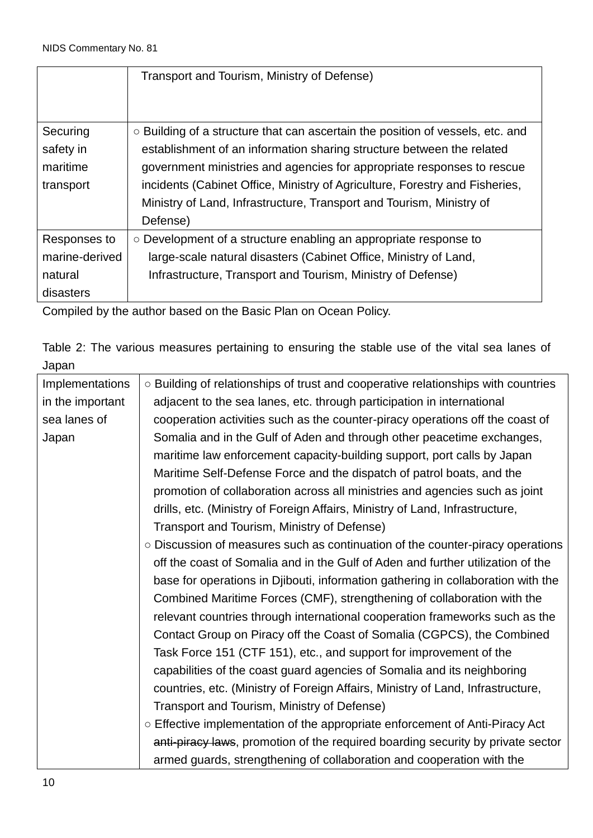|                | Transport and Tourism, Ministry of Defense)                                          |
|----------------|--------------------------------------------------------------------------------------|
|                |                                                                                      |
|                |                                                                                      |
| Securing       | $\circ$ Building of a structure that can ascertain the position of vessels, etc. and |
| safety in      | establishment of an information sharing structure between the related                |
| maritime       | government ministries and agencies for appropriate responses to rescue               |
| transport      | incidents (Cabinet Office, Ministry of Agriculture, Forestry and Fisheries,          |
|                | Ministry of Land, Infrastructure, Transport and Tourism, Ministry of                 |
|                | Defense)                                                                             |
| Responses to   | $\circ$ Development of a structure enabling an appropriate response to               |
| marine-derived | large-scale natural disasters (Cabinet Office, Ministry of Land,                     |
| natural        | Infrastructure, Transport and Tourism, Ministry of Defense)                          |
| disasters      |                                                                                      |

Compiled by the author based on the Basic Plan on Ocean Policy.

Table 2: The various measures pertaining to ensuring the stable use of the vital sea lanes of Japan

| Implementations  | o Building of relationships of trust and cooperative relationships with countries |
|------------------|-----------------------------------------------------------------------------------|
| in the important | adjacent to the sea lanes, etc. through participation in international            |
| sea lanes of     | cooperation activities such as the counter-piracy operations off the coast of     |
| Japan            | Somalia and in the Gulf of Aden and through other peacetime exchanges,            |
|                  | maritime law enforcement capacity-building support, port calls by Japan           |
|                  | Maritime Self-Defense Force and the dispatch of patrol boats, and the             |
|                  | promotion of collaboration across all ministries and agencies such as joint       |
|                  | drills, etc. (Ministry of Foreign Affairs, Ministry of Land, Infrastructure,      |
|                  | Transport and Tourism, Ministry of Defense)                                       |
|                  | ○ Discussion of measures such as continuation of the counter-piracy operations    |
|                  | off the coast of Somalia and in the Gulf of Aden and further utilization of the   |
|                  | base for operations in Djibouti, information gathering in collaboration with the  |
|                  | Combined Maritime Forces (CMF), strengthening of collaboration with the           |
|                  | relevant countries through international cooperation frameworks such as the       |
|                  | Contact Group on Piracy off the Coast of Somalia (CGPCS), the Combined            |
|                  | Task Force 151 (CTF 151), etc., and support for improvement of the                |
|                  | capabilities of the coast guard agencies of Somalia and its neighboring           |
|                  | countries, etc. (Ministry of Foreign Affairs, Ministry of Land, Infrastructure,   |
|                  | Transport and Tourism, Ministry of Defense)                                       |
|                  | ○ Effective implementation of the appropriate enforcement of Anti-Piracy Act      |
|                  | anti-piracy laws, promotion of the required boarding security by private sector   |
|                  | armed guards, strengthening of collaboration and cooperation with the             |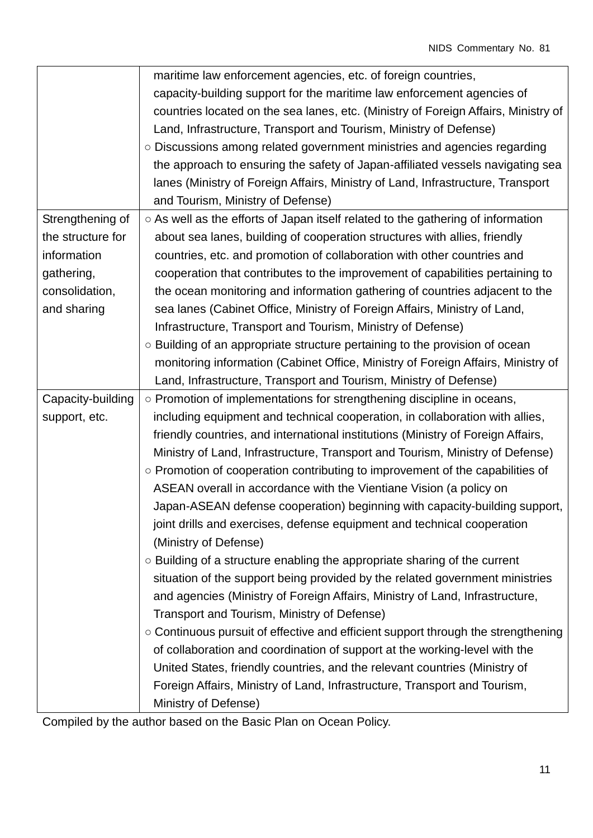|                   | maritime law enforcement agencies, etc. of foreign countries,                                                                                           |
|-------------------|---------------------------------------------------------------------------------------------------------------------------------------------------------|
|                   | capacity-building support for the maritime law enforcement agencies of                                                                                  |
|                   | countries located on the sea lanes, etc. (Ministry of Foreign Affairs, Ministry of                                                                      |
|                   | Land, Infrastructure, Transport and Tourism, Ministry of Defense)                                                                                       |
|                   | ○ Discussions among related government ministries and agencies regarding                                                                                |
|                   | the approach to ensuring the safety of Japan-affiliated vessels navigating sea                                                                          |
|                   | lanes (Ministry of Foreign Affairs, Ministry of Land, Infrastructure, Transport                                                                         |
|                   | and Tourism, Ministry of Defense)                                                                                                                       |
| Strengthening of  | ○ As well as the efforts of Japan itself related to the gathering of information                                                                        |
| the structure for | about sea lanes, building of cooperation structures with allies, friendly                                                                               |
| information       | countries, etc. and promotion of collaboration with other countries and                                                                                 |
| gathering,        | cooperation that contributes to the improvement of capabilities pertaining to                                                                           |
| consolidation,    | the ocean monitoring and information gathering of countries adjacent to the                                                                             |
| and sharing       | sea lanes (Cabinet Office, Ministry of Foreign Affairs, Ministry of Land,                                                                               |
|                   | Infrastructure, Transport and Tourism, Ministry of Defense)                                                                                             |
|                   | ○ Building of an appropriate structure pertaining to the provision of ocean                                                                             |
|                   | monitoring information (Cabinet Office, Ministry of Foreign Affairs, Ministry of                                                                        |
|                   | Land, Infrastructure, Transport and Tourism, Ministry of Defense)                                                                                       |
|                   |                                                                                                                                                         |
| Capacity-building | ○ Promotion of implementations for strengthening discipline in oceans,                                                                                  |
| support, etc.     | including equipment and technical cooperation, in collaboration with allies,                                                                            |
|                   | friendly countries, and international institutions (Ministry of Foreign Affairs,                                                                        |
|                   | Ministry of Land, Infrastructure, Transport and Tourism, Ministry of Defense)                                                                           |
|                   | ○ Promotion of cooperation contributing to improvement of the capabilities of                                                                           |
|                   | ASEAN overall in accordance with the Vientiane Vision (a policy on                                                                                      |
|                   |                                                                                                                                                         |
|                   | Japan-ASEAN defense cooperation) beginning with capacity-building support,                                                                              |
|                   | joint drills and exercises, defense equipment and technical cooperation<br>(Ministry of Defense)                                                        |
|                   | $\circ$ Building of a structure enabling the appropriate sharing of the current                                                                         |
|                   | situation of the support being provided by the related government ministries                                                                            |
|                   |                                                                                                                                                         |
|                   | and agencies (Ministry of Foreign Affairs, Ministry of Land, Infrastructure,                                                                            |
|                   | Transport and Tourism, Ministry of Defense)                                                                                                             |
|                   | ○ Continuous pursuit of effective and efficient support through the strengthening                                                                       |
|                   | of collaboration and coordination of support at the working-level with the                                                                              |
|                   | United States, friendly countries, and the relevant countries (Ministry of<br>Foreign Affairs, Ministry of Land, Infrastructure, Transport and Tourism, |

Compiled by the author based on the Basic Plan on Ocean Policy.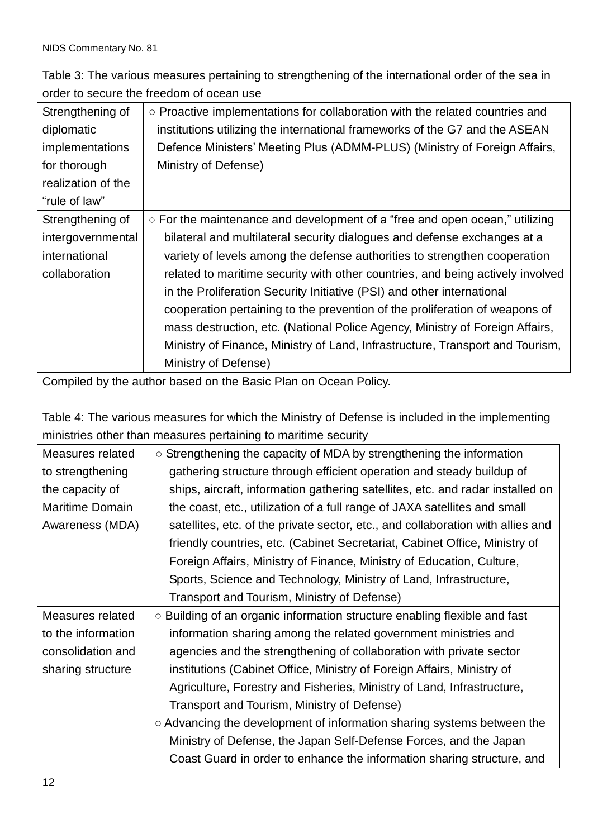Table 3: The various measures pertaining to strengthening of the international order of the sea in order to secure the freedom of ocean use

| Strengthening of   | $\circ$ Proactive implementations for collaboration with the related countries and |
|--------------------|------------------------------------------------------------------------------------|
| diplomatic         | institutions utilizing the international frameworks of the G7 and the ASEAN        |
| implementations    | Defence Ministers' Meeting Plus (ADMM-PLUS) (Ministry of Foreign Affairs,          |
| for thorough       | Ministry of Defense)                                                               |
| realization of the |                                                                                    |
| "rule of law"      |                                                                                    |
| Strengthening of   | ○ For the maintenance and development of a "free and open ocean," utilizing        |
| intergovernmental  | bilateral and multilateral security dialogues and defense exchanges at a           |
| international      | variety of levels among the defense authorities to strengthen cooperation          |
| collaboration      | related to maritime security with other countries, and being actively involved     |
|                    | in the Proliferation Security Initiative (PSI) and other international             |
|                    | cooperation pertaining to the prevention of the proliferation of weapons of        |
|                    | mass destruction, etc. (National Police Agency, Ministry of Foreign Affairs,       |
|                    | Ministry of Finance, Ministry of Land, Infrastructure, Transport and Tourism,      |
|                    | Ministry of Defense)                                                               |

Compiled by the author based on the Basic Plan on Ocean Policy.

Table 4: The various measures for which the Ministry of Defense is included in the implementing ministries other than measures pertaining to maritime security

| Measures related       | $\circ$ Strengthening the capacity of MDA by strengthening the information      |
|------------------------|---------------------------------------------------------------------------------|
| to strengthening       | gathering structure through efficient operation and steady buildup of           |
| the capacity of        | ships, aircraft, information gathering satellites, etc. and radar installed on  |
| <b>Maritime Domain</b> | the coast, etc., utilization of a full range of JAXA satellites and small       |
| Awareness (MDA)        | satellites, etc. of the private sector, etc., and collaboration with allies and |
|                        | friendly countries, etc. (Cabinet Secretariat, Cabinet Office, Ministry of      |
|                        | Foreign Affairs, Ministry of Finance, Ministry of Education, Culture,           |
|                        | Sports, Science and Technology, Ministry of Land, Infrastructure,               |
|                        | Transport and Tourism, Ministry of Defense)                                     |
| Measures related       | ○ Building of an organic information structure enabling flexible and fast       |
|                        | information sharing among the related government ministries and                 |
| to the information     |                                                                                 |
| consolidation and      | agencies and the strengthening of collaboration with private sector             |
| sharing structure      | institutions (Cabinet Office, Ministry of Foreign Affairs, Ministry of          |
|                        | Agriculture, Forestry and Fisheries, Ministry of Land, Infrastructure,          |
|                        | Transport and Tourism, Ministry of Defense)                                     |
|                        | ○ Advancing the development of information sharing systems between the          |
|                        | Ministry of Defense, the Japan Self-Defense Forces, and the Japan               |
|                        | Coast Guard in order to enhance the information sharing structure, and          |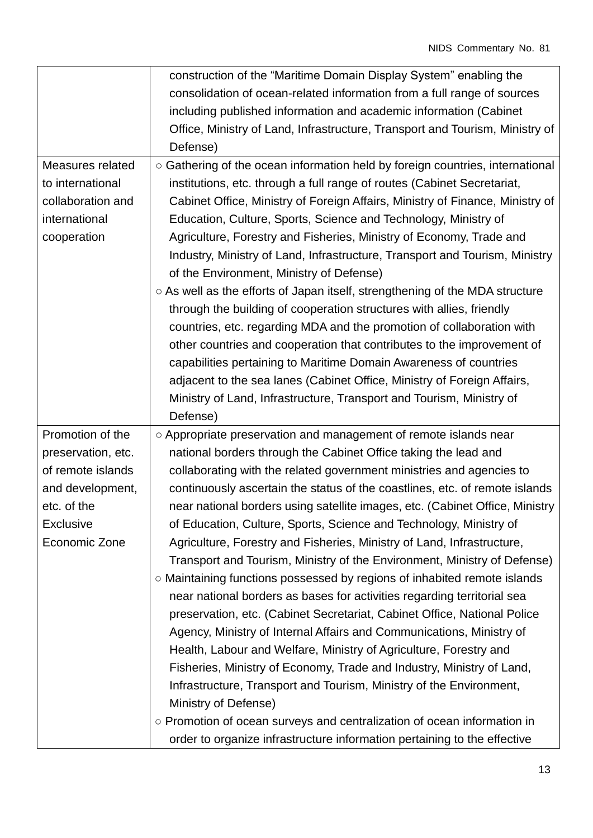|                    | construction of the "Maritime Domain Display System" enabling the             |
|--------------------|-------------------------------------------------------------------------------|
|                    | consolidation of ocean-related information from a full range of sources       |
|                    | including published information and academic information (Cabinet             |
|                    | Office, Ministry of Land, Infrastructure, Transport and Tourism, Ministry of  |
|                    | Defense)                                                                      |
| Measures related   | ○ Gathering of the ocean information held by foreign countries, international |
| to international   | institutions, etc. through a full range of routes (Cabinet Secretariat,       |
| collaboration and  | Cabinet Office, Ministry of Foreign Affairs, Ministry of Finance, Ministry of |
| international      | Education, Culture, Sports, Science and Technology, Ministry of               |
| cooperation        | Agriculture, Forestry and Fisheries, Ministry of Economy, Trade and           |
|                    | Industry, Ministry of Land, Infrastructure, Transport and Tourism, Ministry   |
|                    | of the Environment, Ministry of Defense)                                      |
|                    | ○ As well as the efforts of Japan itself, strengthening of the MDA structure  |
|                    | through the building of cooperation structures with allies, friendly          |
|                    | countries, etc. regarding MDA and the promotion of collaboration with         |
|                    | other countries and cooperation that contributes to the improvement of        |
|                    | capabilities pertaining to Maritime Domain Awareness of countries             |
|                    | adjacent to the sea lanes (Cabinet Office, Ministry of Foreign Affairs,       |
|                    | Ministry of Land, Infrastructure, Transport and Tourism, Ministry of          |
|                    | Defense)                                                                      |
| Promotion of the   | o Appropriate preservation and management of remote islands near              |
| preservation, etc. | national borders through the Cabinet Office taking the lead and               |
| of remote islands  | collaborating with the related government ministries and agencies to          |
| and development,   | continuously ascertain the status of the coastlines, etc. of remote islands   |
| etc. of the        | near national borders using satellite images, etc. (Cabinet Office, Ministry  |
| <b>Exclusive</b>   | of Education, Culture, Sports, Science and Technology, Ministry of            |
| Economic Zone      | Agriculture, Forestry and Fisheries, Ministry of Land, Infrastructure,        |
|                    | Transport and Tourism, Ministry of the Environment, Ministry of Defense)      |
|                    | ○ Maintaining functions possessed by regions of inhabited remote islands      |
|                    | near national borders as bases for activities regarding territorial sea       |
|                    | preservation, etc. (Cabinet Secretariat, Cabinet Office, National Police      |
|                    | Agency, Ministry of Internal Affairs and Communications, Ministry of          |
|                    | Health, Labour and Welfare, Ministry of Agriculture, Forestry and             |
|                    | Fisheries, Ministry of Economy, Trade and Industry, Ministry of Land,         |
|                    | Infrastructure, Transport and Tourism, Ministry of the Environment,           |
|                    | Ministry of Defense)                                                          |
|                    | ○ Promotion of ocean surveys and centralization of ocean information in       |
|                    | order to organize infrastructure information pertaining to the effective      |